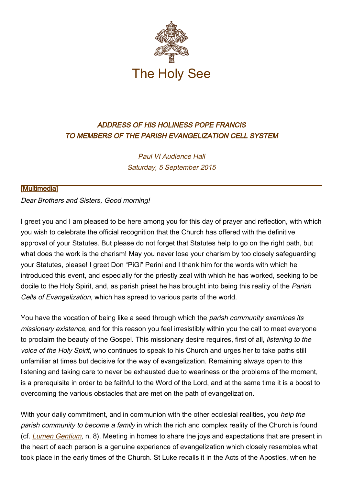

## ADDRESS OF HIS HOLINESS POPE FRANCIS TO MEMBERS OF THE PARISH EVANGELIZATION CELL SYSTEM

Paul VI Audience Hall Saturday, 5 September 2015

## [\[Multimedia](http://w2.vatican.va/content/francesco/en/events/event.dir.html/content/vaticanevents/en/2015/9/5/celluleparrocchiali.html)]

Dear Brothers and Sisters, Good morning!

I greet you and I am pleased to be here among you for this day of prayer and reflection, with which you wish to celebrate the official recognition that the Church has offered with the definitive approval of your Statutes. But please do not forget that Statutes help to go on the right path, but what does the work is the charism! May you never lose your charism by too closely safeguarding your Statutes, please! I greet Don "PiGi" Perini and I thank him for the words with which he introduced this event, and especially for the priestly zeal with which he has worked, seeking to be docile to the Holy Spirit, and, as parish priest he has brought into being this reality of the Parish Cells of Evangelization, which has spread to various parts of the world.

You have the vocation of being like a seed through which the *parish community examines its* missionary existence, and for this reason you feel irresistibly within you the call to meet everyone to proclaim the beauty of the Gospel. This missionary desire requires, first of all, listening to the voice of the Holy Spirit, who continues to speak to his Church and urges her to take paths still unfamiliar at times but decisive for the way of evangelization. Remaining always open to this listening and taking care to never be exhausted due to weariness or the problems of the moment, is a prerequisite in order to be faithful to the Word of the Lord, and at the same time it is a boost to overcoming the various obstacles that are met on the path of evangelization.

With your daily commitment, and in communion with the other ecclesial realities, you help the parish community to become a family in which the rich and complex reality of the Church is found (cf. [Lumen Gentium](http://www.vatican.va/archive/hist_councils/ii_vatican_council/documents/vat-ii_const_19641121_lumen-gentium_en.html), n. 8). Meeting in homes to share the joys and expectations that are present in the heart of each person is a genuine experience of evangelization which closely resembles what took place in the early times of the Church. St Luke recalls it in the Acts of the Apostles, when he